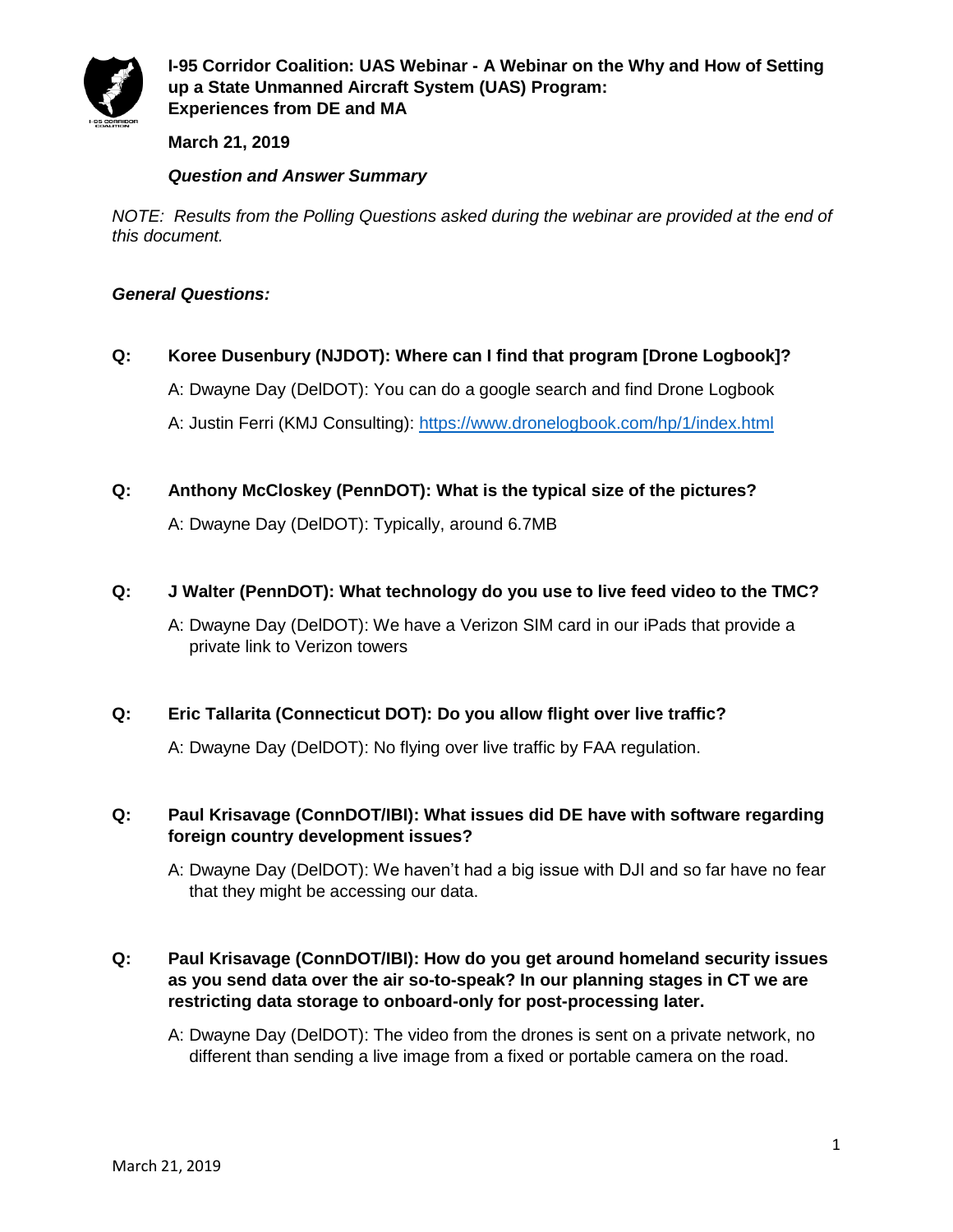

# **March 21, 2019**

# *Question and Answer Summary*

*NOTE: Results from the Polling Questions asked during the webinar are provided at the end of this document.*

## *General Questions:*

# **Q: Koree Dusenbury (NJDOT): Where can I find that program [Drone Logbook]?**

A: Dwayne Day (DelDOT): You can do a google search and find Drone Logbook

A: Justin Ferri (KMJ Consulting):<https://www.dronelogbook.com/hp/1/index.html>

**Q: Anthony McCloskey (PennDOT): What is the typical size of the pictures?**

A: Dwayne Day (DelDOT): Typically, around 6.7MB

**Q: J Walter (PennDOT): What technology do you use to live feed video to the TMC?**

A: Dwayne Day (DelDOT): We have a Verizon SIM card in our iPads that provide a private link to Verizon towers

## **Q: Eric Tallarita (Connecticut DOT): Do you allow flight over live traffic?**

A: Dwayne Day (DelDOT): No flying over live traffic by FAA regulation.

## **Q: Paul Krisavage (ConnDOT/IBI): What issues did DE have with software regarding foreign country development issues?**

A: Dwayne Day (DelDOT): We haven't had a big issue with DJI and so far have no fear that they might be accessing our data.

# **Q: Paul Krisavage (ConnDOT/IBI): How do you get around homeland security issues as you send data over the air so-to-speak? In our planning stages in CT we are restricting data storage to onboard-only for post-processing later.**

A: Dwayne Day (DelDOT): The video from the drones is sent on a private network, no different than sending a live image from a fixed or portable camera on the road.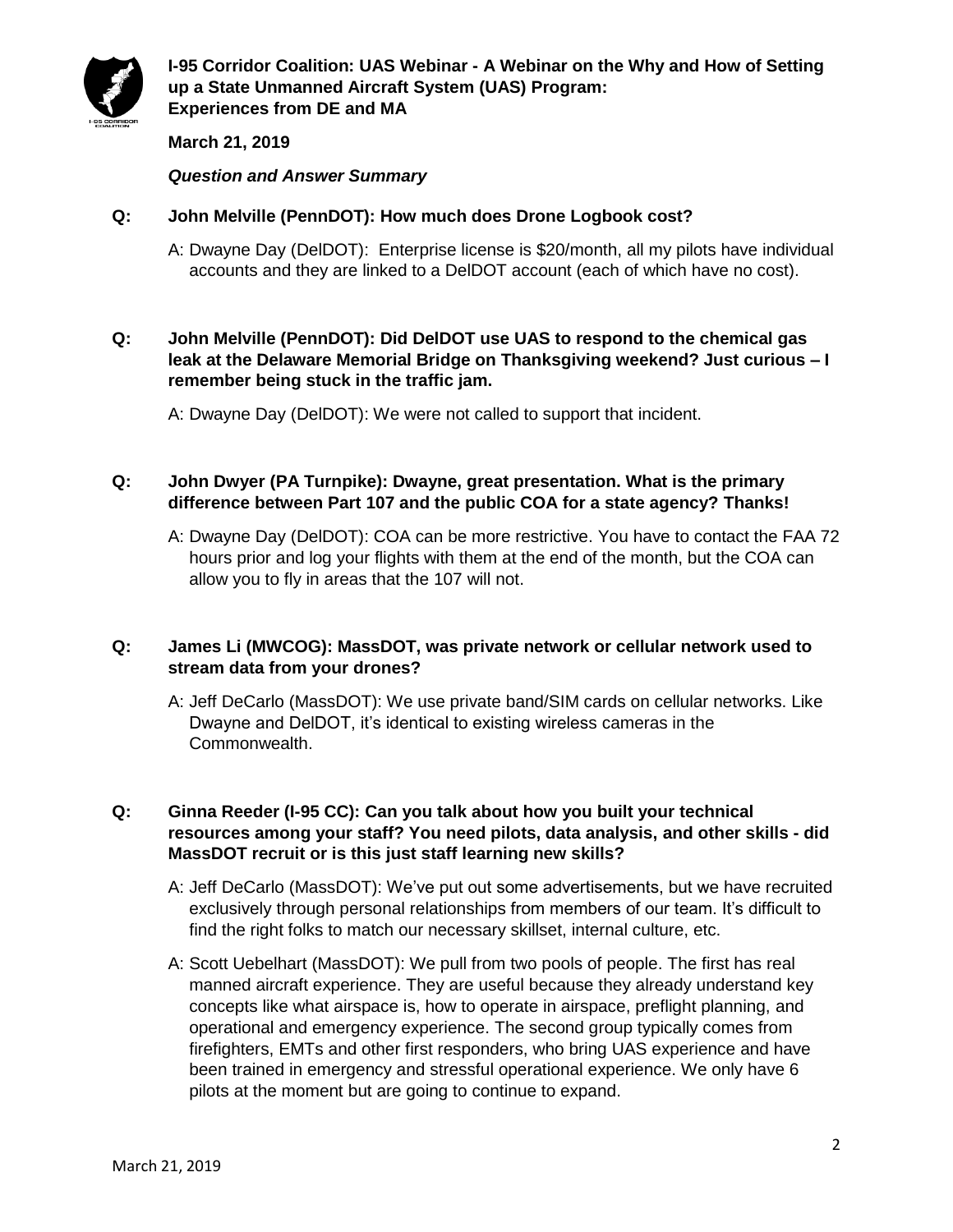

# **March 21, 2019**

*Question and Answer Summary*

## **Q: John Melville (PennDOT): How much does Drone Logbook cost?**

A: Dwayne Day (DelDOT): Enterprise license is \$20/month, all my pilots have individual accounts and they are linked to a DelDOT account (each of which have no cost).

## **Q: John Melville (PennDOT): Did DelDOT use UAS to respond to the chemical gas leak at the Delaware Memorial Bridge on Thanksgiving weekend? Just curious – I remember being stuck in the traffic jam.**

A: Dwayne Day (DelDOT): We were not called to support that incident.

## **Q: John Dwyer (PA Turnpike): Dwayne, great presentation. What is the primary difference between Part 107 and the public COA for a state agency? Thanks!**

A: Dwayne Day (DelDOT): COA can be more restrictive. You have to contact the FAA 72 hours prior and log your flights with them at the end of the month, but the COA can allow you to fly in areas that the 107 will not.

## **Q: James Li (MWCOG): MassDOT, was private network or cellular network used to stream data from your drones?**

A: Jeff DeCarlo (MassDOT): We use private band/SIM cards on cellular networks. Like Dwayne and DelDOT, it's identical to existing wireless cameras in the Commonwealth.

# **Q: Ginna Reeder (I-95 CC): Can you talk about how you built your technical resources among your staff? You need pilots, data analysis, and other skills - did MassDOT recruit or is this just staff learning new skills?**

- A: Jeff DeCarlo (MassDOT): We've put out some advertisements, but we have recruited exclusively through personal relationships from members of our team. It's difficult to find the right folks to match our necessary skillset, internal culture, etc.
- A: Scott Uebelhart (MassDOT): We pull from two pools of people. The first has real manned aircraft experience. They are useful because they already understand key concepts like what airspace is, how to operate in airspace, preflight planning, and operational and emergency experience. The second group typically comes from firefighters, EMTs and other first responders, who bring UAS experience and have been trained in emergency and stressful operational experience. We only have 6 pilots at the moment but are going to continue to expand.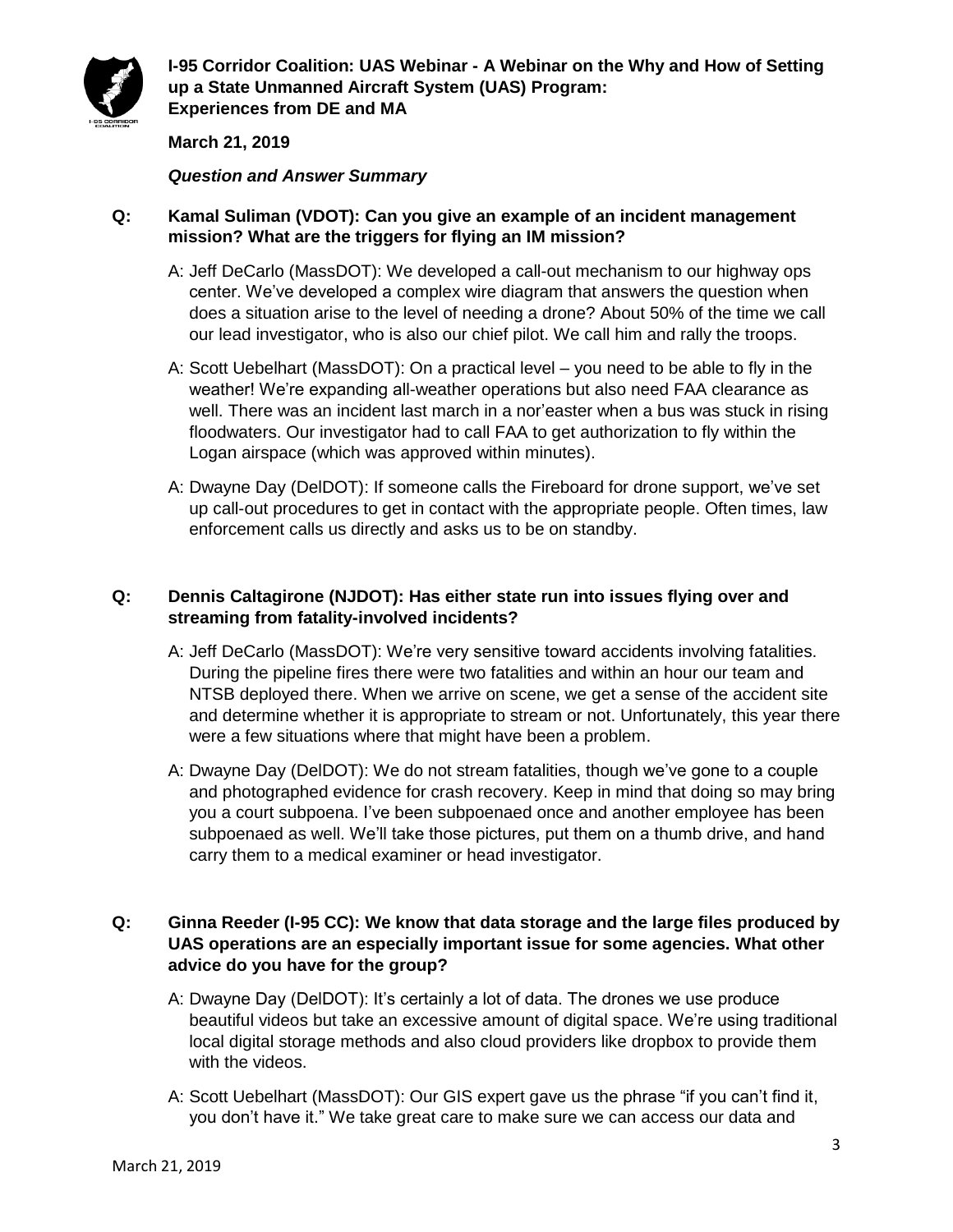

# **March 21, 2019**

#### *Question and Answer Summary*

## **Q: Kamal Suliman (VDOT): Can you give an example of an incident management mission? What are the triggers for flying an IM mission?**

- A: Jeff DeCarlo (MassDOT): We developed a call-out mechanism to our highway ops center. We've developed a complex wire diagram that answers the question when does a situation arise to the level of needing a drone? About 50% of the time we call our lead investigator, who is also our chief pilot. We call him and rally the troops.
- A: Scott Uebelhart (MassDOT): On a practical level you need to be able to fly in the weather! We're expanding all-weather operations but also need FAA clearance as well. There was an incident last march in a nor'easter when a bus was stuck in rising floodwaters. Our investigator had to call FAA to get authorization to fly within the Logan airspace (which was approved within minutes).
- A: Dwayne Day (DelDOT): If someone calls the Fireboard for drone support, we've set up call-out procedures to get in contact with the appropriate people. Often times, law enforcement calls us directly and asks us to be on standby.

## **Q: Dennis Caltagirone (NJDOT): Has either state run into issues flying over and streaming from fatality-involved incidents?**

- A: Jeff DeCarlo (MassDOT): We're very sensitive toward accidents involving fatalities. During the pipeline fires there were two fatalities and within an hour our team and NTSB deployed there. When we arrive on scene, we get a sense of the accident site and determine whether it is appropriate to stream or not. Unfortunately, this year there were a few situations where that might have been a problem.
- A: Dwayne Day (DelDOT): We do not stream fatalities, though we've gone to a couple and photographed evidence for crash recovery. Keep in mind that doing so may bring you a court subpoena. I've been subpoenaed once and another employee has been subpoenaed as well. We'll take those pictures, put them on a thumb drive, and hand carry them to a medical examiner or head investigator.

# **Q: Ginna Reeder (I-95 CC): We know that data storage and the large files produced by UAS operations are an especially important issue for some agencies. What other advice do you have for the group?**

- A: Dwayne Day (DelDOT): It's certainly a lot of data. The drones we use produce beautiful videos but take an excessive amount of digital space. We're using traditional local digital storage methods and also cloud providers like dropbox to provide them with the videos.
- A: Scott Uebelhart (MassDOT): Our GIS expert gave us the phrase "if you can't find it, you don't have it." We take great care to make sure we can access our data and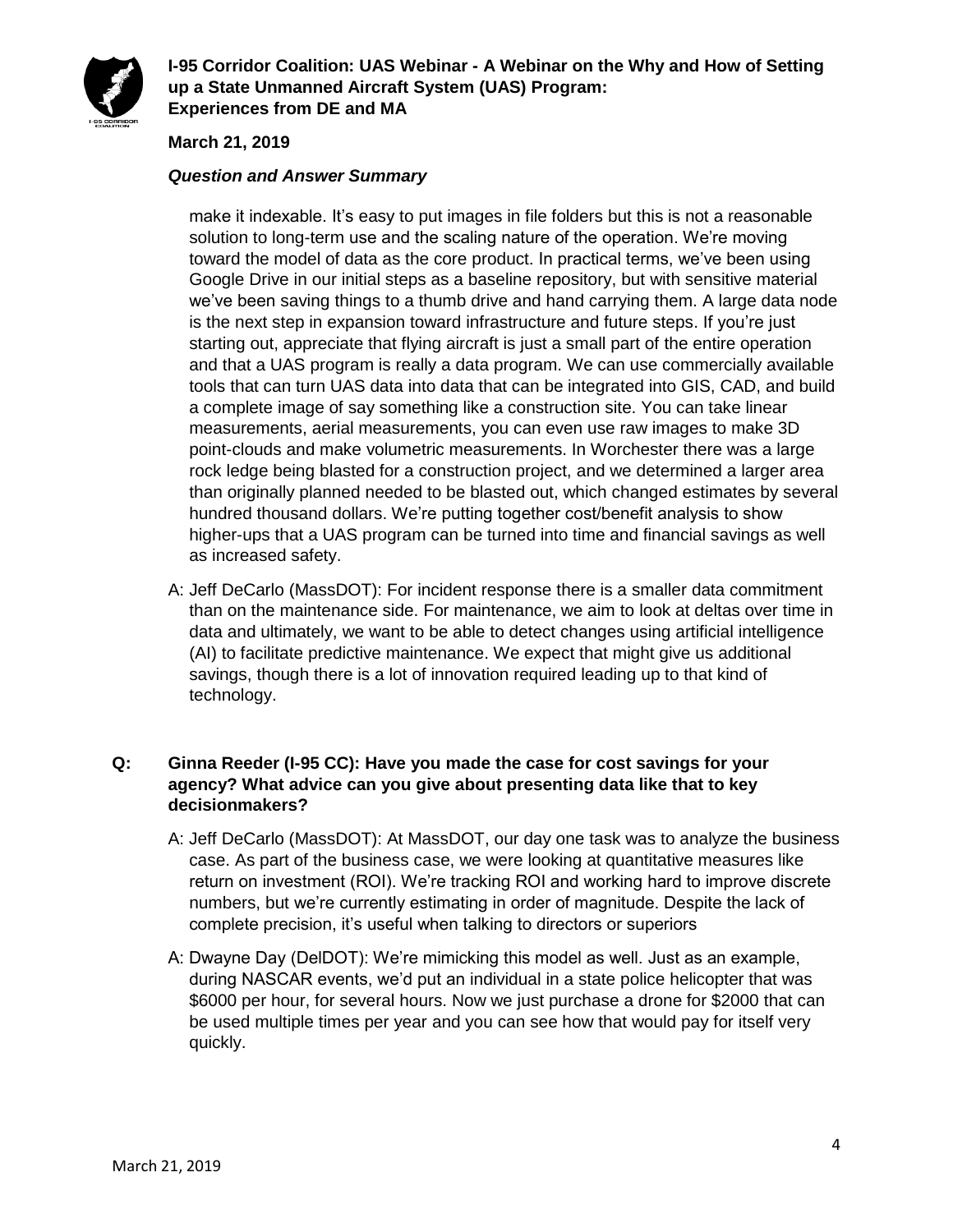

# **March 21, 2019**

## *Question and Answer Summary*

make it indexable. It's easy to put images in file folders but this is not a reasonable solution to long-term use and the scaling nature of the operation. We're moving toward the model of data as the core product. In practical terms, we've been using Google Drive in our initial steps as a baseline repository, but with sensitive material we've been saving things to a thumb drive and hand carrying them. A large data node is the next step in expansion toward infrastructure and future steps. If you're just starting out, appreciate that flying aircraft is just a small part of the entire operation and that a UAS program is really a data program. We can use commercially available tools that can turn UAS data into data that can be integrated into GIS, CAD, and build a complete image of say something like a construction site. You can take linear measurements, aerial measurements, you can even use raw images to make 3D point-clouds and make volumetric measurements. In Worchester there was a large rock ledge being blasted for a construction project, and we determined a larger area than originally planned needed to be blasted out, which changed estimates by several hundred thousand dollars. We're putting together cost/benefit analysis to show higher-ups that a UAS program can be turned into time and financial savings as well as increased safety.

A: Jeff DeCarlo (MassDOT): For incident response there is a smaller data commitment than on the maintenance side. For maintenance, we aim to look at deltas over time in data and ultimately, we want to be able to detect changes using artificial intelligence (AI) to facilitate predictive maintenance. We expect that might give us additional savings, though there is a lot of innovation required leading up to that kind of technology.

# **Q: Ginna Reeder (I-95 CC): Have you made the case for cost savings for your agency? What advice can you give about presenting data like that to key decisionmakers?**

- A: Jeff DeCarlo (MassDOT): At MassDOT, our day one task was to analyze the business case. As part of the business case, we were looking at quantitative measures like return on investment (ROI). We're tracking ROI and working hard to improve discrete numbers, but we're currently estimating in order of magnitude. Despite the lack of complete precision, it's useful when talking to directors or superiors
- A: Dwayne Day (DelDOT): We're mimicking this model as well. Just as an example, during NASCAR events, we'd put an individual in a state police helicopter that was \$6000 per hour, for several hours. Now we just purchase a drone for \$2000 that can be used multiple times per year and you can see how that would pay for itself very quickly.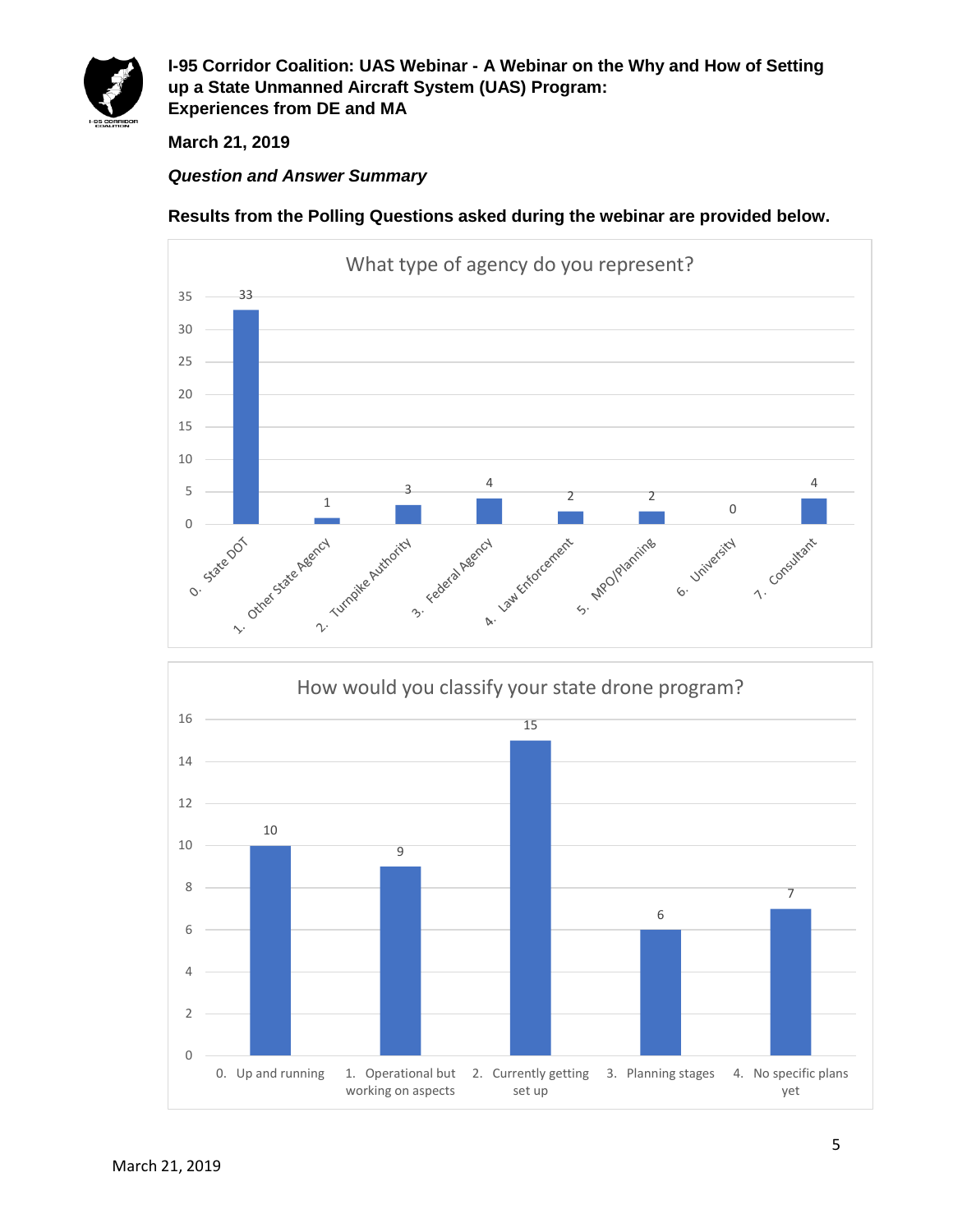

**March 21, 2019**

# *Question and Answer Summary*

**Results from the Polling Questions asked during the webinar are provided below.**